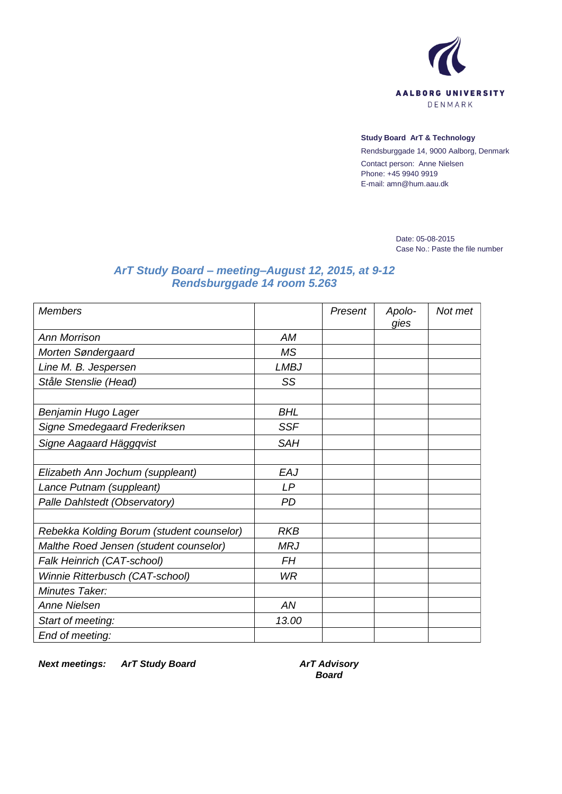

## **Study Board ArT & Technology**

Rendsburggade 14, 9000 Aalborg, Denmark Contact person: Anne Nielsen Phone: +45 9940 9919 E-mail: amn@hum.aau.dk

> Date: 05-08-2015 Case No.: Paste the file number

## *ArT Study Board – meeting–August 12, 2015, at 9-12 Rendsburggade 14 room 5.263*

| <b>Members</b>                            |             | Present | Apolo-<br>gies | Not met |
|-------------------------------------------|-------------|---------|----------------|---------|
| <b>Ann Morrison</b>                       | AM          |         |                |         |
| Morten Søndergaard                        | <b>MS</b>   |         |                |         |
| Line M. B. Jespersen                      | <b>LMBJ</b> |         |                |         |
| Ståle Stenslie (Head)                     | SS          |         |                |         |
|                                           |             |         |                |         |
| Benjamin Hugo Lager                       | <b>BHL</b>  |         |                |         |
| Signe Smedegaard Frederiksen              | <b>SSF</b>  |         |                |         |
| Signe Aagaard Häggqvist                   | <b>SAH</b>  |         |                |         |
|                                           |             |         |                |         |
| Elizabeth Ann Jochum (suppleant)          | EAJ         |         |                |         |
| Lance Putnam (suppleant)                  | LP          |         |                |         |
| Palle Dahlstedt (Observatory)             | PD          |         |                |         |
|                                           |             |         |                |         |
| Rebekka Kolding Borum (student counselor) | <b>RKB</b>  |         |                |         |
| Malthe Roed Jensen (student counselor)    | <b>MRJ</b>  |         |                |         |
| Falk Heinrich (CAT-school)                | FΗ          |         |                |         |
| Winnie Ritterbusch (CAT-school)           | <b>WR</b>   |         |                |         |
| Minutes Taker:                            |             |         |                |         |
| <b>Anne Nielsen</b>                       | AN          |         |                |         |
| Start of meeting:                         | 13.00       |         |                |         |
| End of meeting:                           |             |         |                |         |

*Next meetings: ArT Study Board ArT Advisory* 

*Board*